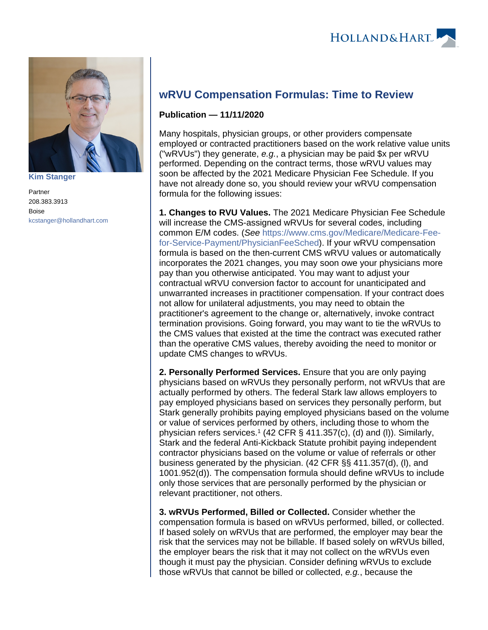

**[Kim Stanger](https://www.hollandhart.com/15954)**

Partner 208.383.3913 Boise [kcstanger@hollandhart.com](mailto:kcstanger@hollandhart.com)

## **wRVU Compensation Formulas: Time to Review**

## **Publication — 11/11/2020**

Many hospitals, physician groups, or other providers compensate employed or contracted practitioners based on the work relative value units ("wRVUs") they generate, e.g., a physician may be paid  $x$  per wRVU performed. Depending on the contract terms, those wRVU values may soon be affected by the 2021 Medicare Physician Fee Schedule. If you have not already done so, you should review your wRVU compensation formula for the following issues:

**1. Changes to RVU Values.** The 2021 Medicare Physician Fee Schedule will increase the CMS-assigned wRVUs for several codes, including common E/M codes. (See [https://www.cms.gov/Medicare/Medicare-Fee](https://www.cms.gov/Medicare/Medicare-Fee-for-Service-Payment/PhysicianFeeSched)[for-Service-Payment/PhysicianFeeSched](https://www.cms.gov/Medicare/Medicare-Fee-for-Service-Payment/PhysicianFeeSched)). If your wRVU compensation formula is based on the then-current CMS wRVU values or automatically incorporates the 2021 changes, you may soon owe your physicians more pay than you otherwise anticipated. You may want to adjust your contractual wRVU conversion factor to account for unanticipated and unwarranted increases in practitioner compensation. If your contract does not allow for unilateral adjustments, you may need to obtain the practitioner's agreement to the change or, alternatively, invoke contract termination provisions. Going forward, you may want to tie the wRVUs to the CMS values that existed at the time the contract was executed rather than the operative CMS values, thereby avoiding the need to monitor or update CMS changes to wRVUs.

**2. Personally Performed Services.** Ensure that you are only paying physicians based on wRVUs they personally perform, not wRVUs that are actually performed by others. The federal Stark law allows employers to pay employed physicians based on services they personally perform, but Stark generally prohibits paying employed physicians based on the volume or value of services performed by others, including those to whom the physician refers services.<sup>1</sup> (42 CFR  $\S$  411.357(c), (d) and (I)). Similarly, Stark and the federal Anti-Kickback Statute prohibit paying independent contractor physicians based on the volume or value of referrals or other business generated by the physician. (42 CFR §§ 411.357(d), (l), and 1001.952(d)). The compensation formula should define wRVUs to include only those services that are personally performed by the physician or relevant practitioner, not others.

**3. wRVUs Performed, Billed or Collected.** Consider whether the compensation formula is based on wRVUs performed, billed, or collected. If based solely on wRVUs that are performed, the employer may bear the risk that the services may not be billable. If based solely on wRVUs billed, the employer bears the risk that it may not collect on the wRVUs even though it must pay the physician. Consider defining wRVUs to exclude those wRVUs that cannot be billed or collected, e.g., because the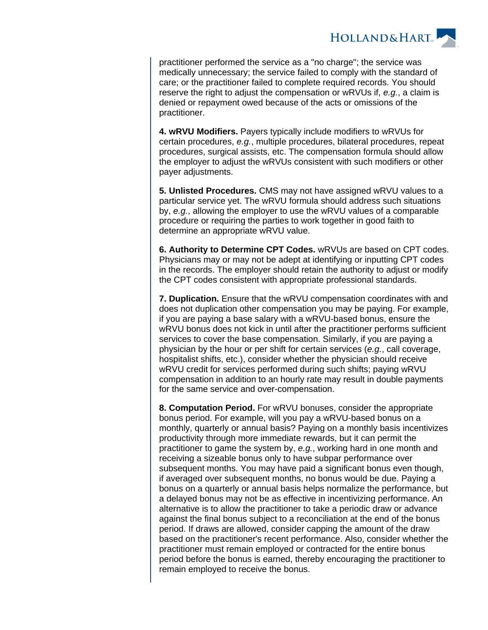

practitioner performed the service as a "no charge"; the service was medically unnecessary; the service failed to comply with the standard of care; or the practitioner failed to complete required records. You should reserve the right to adjust the compensation or wRVUs if, e.g., a claim is denied or repayment owed because of the acts or omissions of the practitioner.

**4. wRVU Modifiers.** Payers typically include modifiers to wRVUs for certain procedures, e.g., multiple procedures, bilateral procedures, repeat procedures, surgical assists, etc. The compensation formula should allow the employer to adjust the wRVUs consistent with such modifiers or other payer adjustments.

**5. Unlisted Procedures.** CMS may not have assigned wRVU values to a particular service yet. The wRVU formula should address such situations by, e.g., allowing the employer to use the wRVU values of a comparable procedure or requiring the parties to work together in good faith to determine an appropriate wRVU value.

**6. Authority to Determine CPT Codes.** wRVUs are based on CPT codes. Physicians may or may not be adept at identifying or inputting CPT codes in the records. The employer should retain the authority to adjust or modify the CPT codes consistent with appropriate professional standards.

**7. Duplication.** Ensure that the wRVU compensation coordinates with and does not duplication other compensation you may be paying. For example, if you are paying a base salary with a wRVU-based bonus, ensure the wRVU bonus does not kick in until after the practitioner performs sufficient services to cover the base compensation. Similarly, if you are paying a physician by the hour or per shift for certain services (e.g., call coverage, hospitalist shifts, etc.), consider whether the physician should receive wRVU credit for services performed during such shifts; paying wRVU compensation in addition to an hourly rate may result in double payments for the same service and over-compensation.

**8. Computation Period.** For wRVU bonuses, consider the appropriate bonus period. For example, will you pay a wRVU-based bonus on a monthly, quarterly or annual basis? Paying on a monthly basis incentivizes productivity through more immediate rewards, but it can permit the practitioner to game the system by, e.g., working hard in one month and receiving a sizeable bonus only to have subpar performance over subsequent months. You may have paid a significant bonus even though, if averaged over subsequent months, no bonus would be due. Paying a bonus on a quarterly or annual basis helps normalize the performance, but a delayed bonus may not be as effective in incentivizing performance. An alternative is to allow the practitioner to take a periodic draw or advance against the final bonus subject to a reconciliation at the end of the bonus period. If draws are allowed, consider capping the amount of the draw based on the practitioner's recent performance. Also, consider whether the practitioner must remain employed or contracted for the entire bonus period before the bonus is earned, thereby encouraging the practitioner to remain employed to receive the bonus.